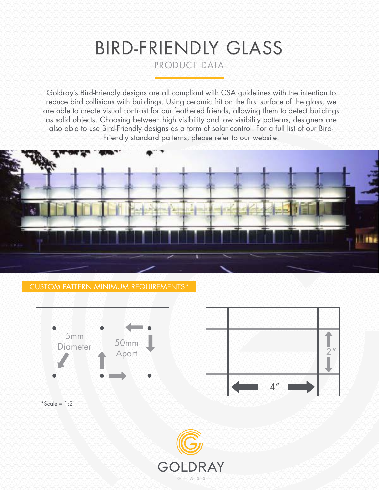# BIRD-FRIENDLY GLASS

PRODUCT DATA

Goldray's Bird-Friendly designs are all compliant with CSA guidelines with the intention to reduce bird collisions with buildings. Using ceramic frit on the first surface of the glass, we are able to create visual contrast for our feathered friends, allowing them to detect buildings as solid objects. Choosing between high visibility and low visibility patterns, designers are also able to use Bird-Friendly designs as a form of solar control. For a full list of our Bird-Friendly standard patterns, please refer to our website.



CUSTOM PATTERN MINIMUM REQUIREMENTS\*





 $*Scale = 1:2$